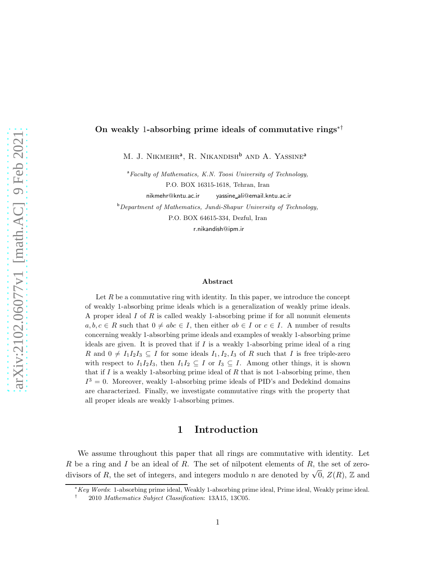#### On weakly 1-absorbing prime ideals of commutative rings∗†

M. J. NIKMEHR<sup>a</sup>, R. NIKANDISH<sup>b</sup> and A. Yassine<sup>a</sup>

 $a$ Faculty of Mathematics, K.N. Toosi University of Technology, P.O. BOX 16315-1618, Tehran, Iran

nikmehr@kntu.ac.ir yassine ali@email.kntu.ac.ir

<sup>b</sup>Department of Mathematics, Jundi-Shapur University of Technology,

P.O. BOX 64615-334, Dezful, Iran

r.nikandish@ipm.ir

#### Abstract

Let  $R$  be a commutative ring with identity. In this paper, we introduce the concept of weakly 1-absorbing prime ideals which is a generalization of weakly prime ideals. A proper ideal  $I$  of  $R$  is called weakly 1-absorbing prime if for all nonunit elements  $a, b, c \in R$  such that  $0 \neq abc \in I$ , then either  $ab \in I$  or  $c \in I$ . A number of results concerning weakly 1-absorbing prime ideals and examples of weakly 1-absorbing prime ideals are given. It is proved that if  $I$  is a weakly 1-absorbing prime ideal of a ring R and  $0 \neq I_1I_2I_3 \subseteq I$  for some ideals  $I_1, I_2, I_3$  of R such that I is free triple-zero with respect to  $I_1I_2I_3$ , then  $I_1I_2 \subseteq I$  or  $I_3 \subseteq I$ . Among other things, it is shown that if I is a weakly 1-absorbing prime ideal of R that is not 1-absorbing prime, then  $I^3 = 0$ . Moreover, weakly 1-absorbing prime ideals of PID's and Dedekind domains are characterized. Finally, we investigate commutative rings with the property that all proper ideals are weakly 1-absorbing primes.

#### 1 Introduction

We assume throughout this paper that all rings are commutative with identity. Let  $R$  be a ring and  $I$  be an ideal of  $R$ . The set of nilpotent elements of  $R$ , the set of zerodivisors of R, the set of integers, and integers modulo n are denoted by  $\sqrt{0}$ ,  $Z(R)$ , Z and

<sup>∗</sup>Key Words: 1-absorbing prime ideal, Weakly 1-absorbing prime ideal, Prime ideal, Weakly prime ideal.

<sup>†</sup> 2010 Mathematics Subject Classification: 13A15, 13C05.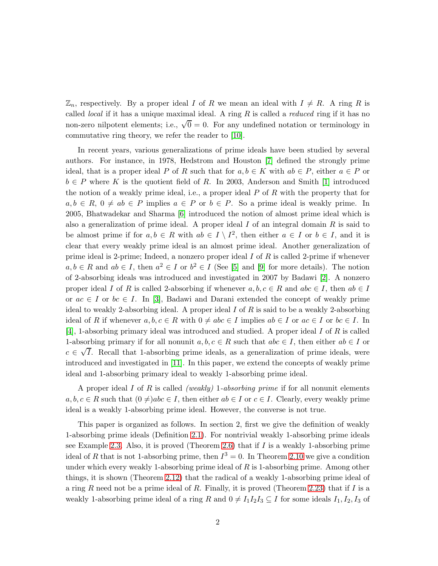$\mathbb{Z}_n$ , respectively. By a proper ideal I of R we mean an ideal with  $I \neq R$ . A ring R is called *local* if it has a unique maximal ideal. A ring  $R$  is called a *reduced* ring if it has no non-zero nilpotent elements; i.e.,  $\sqrt{0} = 0$ . For any undefined notation or terminology in commutative ring theory, we refer the reader to [\[10\]](#page-16-0).

In recent years, various generalizations of prime ideals have been studied by several authors. For instance, in 1978, Hedstrom and Houston [\[7\]](#page-15-0) defined the strongly prime ideal, that is a proper ideal P of R such that for  $a, b \in K$  with  $ab \in P$ , either  $a \in P$  or  $b \in P$  where K is the quotient field of R. In 2003, Anderson and Smith [\[1\]](#page-15-1) introduced the notion of a weakly prime ideal, i.e., a proper ideal  $P$  of  $R$  with the property that for  $a, b \in R$ ,  $0 \neq ab \in P$  implies  $a \in P$  or  $b \in P$ . So a prime ideal is weakly prime. In 2005, Bhatwadekar and Sharma [\[6\]](#page-15-2) introduced the notion of almost prime ideal which is also a generalization of prime ideal. A proper ideal  $I$  of an integral domain  $R$  is said to be almost prime if for  $a, b \in R$  with  $ab \in I \setminus I^2$ , then either  $a \in I$  or  $b \in I$ , and it is clear that every weakly prime ideal is an almost prime ideal. Another generalization of prime ideal is 2-prime; Indeed, a nonzero proper ideal  $I$  of  $R$  is called 2-prime if whenever  $a, b \in R$  and  $ab \in I$ , then  $a^2 \in I$  or  $b^2 \in I$  (See [\[5\]](#page-15-3) and [\[9\]](#page-15-4) for more details). The notion of 2-absorbing ideals was introduced and investigated in 2007 by Badawi [\[2\]](#page-15-5). A nonzero proper ideal I of R is called 2-absorbing if whenever  $a, b, c \in R$  and  $abc \in I$ , then  $ab \in I$ or  $ac \in I$  or  $bc \in I$ . In [\[3\]](#page-15-6), Badawi and Darani extended the concept of weakly prime ideal to weakly 2-absorbing ideal. A proper ideal  $I$  of  $R$  is said to be a weakly 2-absorbing ideal of R if whenever  $a, b, c \in R$  with  $0 \neq abc \in I$  implies  $ab \in I$  or  $ac \in I$  or  $bc \in I$ . In [\[4\]](#page-15-7), 1-absorbing primary ideal was introduced and studied. A proper ideal I of R is called 1-absorbing primary if for all nonunit  $a, b, c \in R$  such that  $abc \in I$ , then either  $ab \in I$  or  $c \in \sqrt{I}$ . Recall that 1-absorbing prime ideals, as a generalization of prime ideals, were introduced and investigated in [\[11\]](#page-16-1). In this paper, we extend the concepts of weakly prime ideal and 1-absorbing primary ideal to weakly 1-absorbing prime ideal.

A proper ideal I of R is called *(weakly)* 1-absorbing prime if for all nonunit elements  $a, b, c \in R$  such that  $(0 \neq)abc \in I$ , then either  $ab \in I$  or  $c \in I$ . Clearly, every weakly prime ideal is a weakly 1-absorbing prime ideal. However, the converse is not true.

This paper is organized as follows. In section 2, first we give the definition of weakly 1-absorbing prime ideals (Definition [2.1\)](#page-2-0). For nontrivial weakly 1-absorbing prime ideals see Example [2.3.](#page-2-1) Also, it is proved (Theorem [2.6\)](#page-3-0) that if  $I$  is a weakly 1-absorbing prime ideal of R that is not 1-absorbing prime, then  $I^3 = 0$ . In Theorem [2.10](#page-5-0) we give a condition under which every weakly 1-absorbing prime ideal of  $R$  is 1-absorbing prime. Among other things, it is shown (Theorem [2.12\)](#page-6-0) that the radical of a weakly 1-absorbing prime ideal of a ring R need not be a prime ideal of R. Finally, it is proved (Theorem [2.23\)](#page-11-0) that if I is a weakly 1-absorbing prime ideal of a ring R and  $0 \neq I_1I_2I_3 \subseteq I$  for some ideals  $I_1, I_2, I_3$  of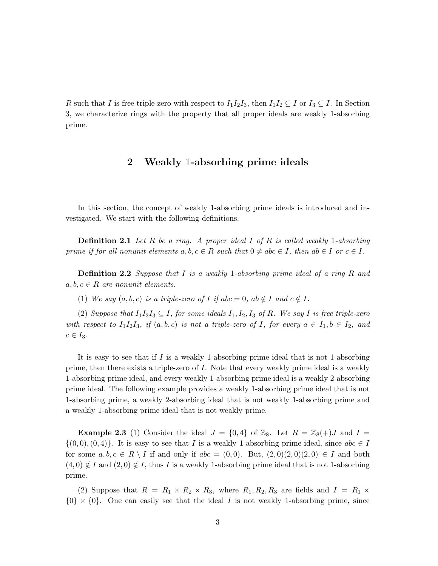R such that I is free triple-zero with respect to  $I_1I_2I_3$ , then  $I_1I_2 \subseteq I$  or  $I_3 \subseteq I$ . In Section 3, we characterize rings with the property that all proper ideals are weakly 1-absorbing prime.

## 2 Weakly 1-absorbing prime ideals

<span id="page-2-0"></span>In this section, the concept of weakly 1-absorbing prime ideals is introduced and investigated. We start with the following definitions.

**Definition 2.1** Let R be a ring. A proper ideal I of R is called weakly 1-absorbing prime if for all nonunit elements  $a, b, c \in R$  such that  $0 \neq abc \in I$ , then  $ab \in I$  or  $c \in I$ .

Definition 2.2 Suppose that I is a weakly 1-absorbing prime ideal of a ring R and  $a, b, c \in R$  are nonunit elements.

(1) We say  $(a, b, c)$  is a triple-zero of I if abc = 0, ab  $\notin I$  and  $c \notin I$ .

(2) Suppose that  $I_1I_2I_3 \subseteq I$ , for some ideals  $I_1, I_2, I_3$  of R. We say I is free triple-zero with respect to  $I_1I_2I_3$ , if  $(a, b, c)$  is not a triple-zero of I, for every  $a \in I_1, b \in I_2$ , and  $c \in I_3$ .

It is easy to see that if  $I$  is a weakly 1-absorbing prime ideal that is not 1-absorbing prime, then there exists a triple-zero of I. Note that every weakly prime ideal is a weakly 1-absorbing prime ideal, and every weakly 1-absorbing prime ideal is a weakly 2-absorbing prime ideal. The following example provides a weakly 1-absorbing prime ideal that is not 1-absorbing prime, a weakly 2-absorbing ideal that is not weakly 1-absorbing prime and a weakly 1-absorbing prime ideal that is not weakly prime.

<span id="page-2-1"></span>**Example 2.3** (1) Consider the ideal  $J = \{0, 4\}$  of  $\mathbb{Z}_8$ . Let  $R = \mathbb{Z}_8(+)$  and  $I =$  $\{(0,0), (0,4)\}.$  It is easy to see that I is a weakly 1-absorbing prime ideal, since  $abc \in I$ for some  $a, b, c \in R \setminus I$  if and only if  $abc = (0, 0)$ . But,  $(2, 0)(2, 0)(2, 0) \in I$  and both  $(4,0) \notin I$  and  $(2,0) \notin I$ , thus I is a weakly 1-absorbing prime ideal that is not 1-absorbing prime.

(2) Suppose that  $R = R_1 \times R_2 \times R_3$ , where  $R_1, R_2, R_3$  are fields and  $I = R_1 \times R_2$  $\{0\} \times \{0\}$ . One can easily see that the ideal I is not weakly 1-absorbing prime, since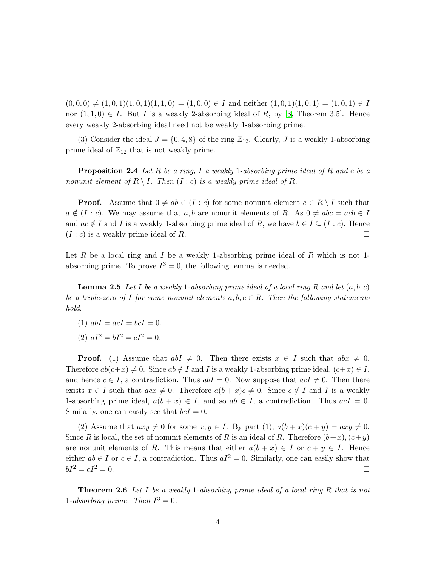$(0, 0, 0) \neq (1, 0, 1)(1, 0, 1)(1, 1, 0) = (1, 0, 0) \in I$  and neither  $(1, 0, 1)(1, 0, 1) = (1, 0, 1) \in I$ nor  $(1,1,0) \in I$ . But I is a weakly 2-absorbing ideal of R, by [\[3,](#page-15-6) Theorem 3.5]. Hence every weakly 2-absorbing ideal need not be weakly 1-absorbing prime.

(3) Consider the ideal  $J = \{0, 4, 8\}$  of the ring  $\mathbb{Z}_{12}$ . Clearly, J is a weakly 1-absorbing prime ideal of  $\mathbb{Z}_{12}$  that is not weakly prime.

**Proposition 2.4** Let R be a ring, I a weakly 1-absorbing prime ideal of R and c be a nonunit element of  $R \setminus I$ . Then  $(I : c)$  is a weakly prime ideal of R.

**Proof.** Assume that  $0 \neq ab \in (I : c)$  for some nonunit element  $c \in R \setminus I$  such that  $a \notin (I : c)$ . We may assume that  $a, b$  are nonunit elements of R. As  $0 \neq abc = acb \in I$ and  $ac \notin I$  and I is a weakly 1-absorbing prime ideal of R, we have  $b \in I \subseteq (I : c)$ . Hence  $(I : c)$  is a weakly prime ideal of R.

<span id="page-3-1"></span>Let  $R$  be a local ring and  $I$  be a weakly 1-absorbing prime ideal of  $R$  which is not 1absorbing prime. To prove  $I^3 = 0$ , the following lemma is needed.

**Lemma 2.5** Let I be a weakly 1-absorbing prime ideal of a local ring R and let  $(a, b, c)$ be a triple-zero of I for some nonunit elements  $a, b, c \in R$ . Then the following statements hold.

- (1)  $abI = acI = bcI = 0$ .
- (2)  $aI^2 = bI^2 = cI^2 = 0$ .

**Proof.** (1) Assume that  $abI \neq 0$ . Then there exists  $x \in I$  such that  $abx \neq 0$ . Therefore  $ab(c+x) \neq 0$ . Since  $ab \notin I$  and I is a weakly 1-absorbing prime ideal,  $(c+x) \in I$ , and hence  $c \in I$ , a contradiction. Thus  $abI = 0$ . Now suppose that  $acI \neq 0$ . Then there exists  $x \in I$  such that  $acx \neq 0$ . Therefore  $a(b + x)c \neq 0$ . Since  $c \notin I$  and I is a weakly 1-absorbing prime ideal,  $a(b + x) \in I$ , and so  $ab \in I$ , a contradiction. Thus  $acI = 0$ . Similarly, one can easily see that  $bcI = 0$ .

(2) Assume that  $axy \neq 0$  for some  $x, y \in I$ . By part (1),  $a(b + x)(c + y) = axy \neq 0$ . Since R is local, the set of nonunit elements of R is an ideal of R. Therefore  $(b+x)$ ,  $(c+y)$ are nonunit elements of R. This means that either  $a(b + x) \in I$  or  $c + y \in I$ . Hence either  $ab \in I$  or  $c \in I$ , a contradiction. Thus  $aI^2 = 0$ . Similarly, one can easily show that  $bI^2 = cI^2 = 0.$ 

<span id="page-3-0"></span>Theorem 2.6 Let I be a weakly 1-absorbing prime ideal of a local ring R that is not 1-absorbing prime. Then  $I^3 = 0$ .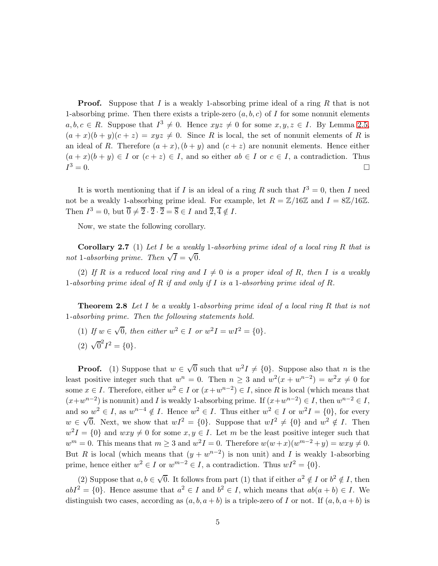**Proof.** Suppose that I is a weakly 1-absorbing prime ideal of a ring R that is not 1-absorbing prime. Then there exists a triple-zero  $(a, b, c)$  of I for some nonunit elements  $a, b, c \in R$ . Suppose that  $I^3 \neq 0$ . Hence  $xyz \neq 0$  for some  $x, y, z \in I$ . By Lemma [2.5,](#page-3-1)  $(a+x)(b+y)(c+z) = xyz \neq 0$ . Since R is local, the set of nonunit elements of R is an ideal of R. Therefore  $(a + x)$ ,  $(b + y)$  and  $(c + z)$  are nonunit elements. Hence either  $(a+x)(b+y) \in I$  or  $(c+z) \in I$ , and so either  $ab \in I$  or  $c \in I$ , a contradiction. Thus  $I^3 = 0.$  $3 = 0.$ 

It is worth mentioning that if I is an ideal of a ring R such that  $I^3 = 0$ , then I need not be a weakly 1-absorbing prime ideal. For example, let  $R = \mathbb{Z}/16\mathbb{Z}$  and  $I = 8\mathbb{Z}/16\mathbb{Z}$ . Then  $I^3 = 0$ , but  $\overline{0} \neq \overline{2} \cdot \overline{2} \cdot \overline{2} = \overline{8} \in I$  and  $\overline{2}, \overline{4} \notin I$ .

<span id="page-4-0"></span>Now, we state the following corollary.

**Corollary 2.7** (1) Let I be a weakly 1-absorbing prime ideal of a local ring R that is not 1-absorbing prime. Then  $\sqrt{I} = \sqrt{0}$ .

<span id="page-4-1"></span>(2) If R is a reduced local ring and  $I \neq 0$  is a proper ideal of R, then I is a weakly 1-absorbing prime ideal of R if and only if I is a 1-absorbing prime ideal of R.

Theorem 2.8 Let I be a weakly 1-absorbing prime ideal of a local ring R that is not 1-absorbing prime. Then the following statements hold.

- (1) If  $w \in \sqrt{0}$ , then either  $w^2 \in I$  or  $w^2I = wI^2 = \{0\}.$
- (2)  $\sqrt{0}^2 I^2 = \{0\}.$

**Proof.** (1) Suppose that  $w \in \sqrt{0}$  such that  $w^2I \neq \{0\}$ . Suppose also that *n* is the least positive integer such that  $w^n = 0$ . Then  $n \geq 3$  and  $w^2(x + w^{n-2}) = w^2x \neq 0$  for some  $x \in I$ . Therefore, either  $w^2 \in I$  or  $(x + w^{n-2}) \in I$ , since R is local (which means that  $(x+w^{n-2})$  is nonunit) and I is weakly 1-absorbing prime. If  $(x+w^{n-2}) \in I$ , then  $w^{n-2} \in I$ , and so  $w^2 \in I$ , as  $w^{n-4} \notin I$ . Hence  $w^2 \in I$ . Thus either  $w^2 \in I$  or  $w^2I = \{0\}$ , for every  $w \in \sqrt{0}$ . Next, we show that  $wI^2 = \{0\}$ . Suppose that  $wI^2 \neq \{0\}$  and  $w^2 \notin I$ . Then  $w^2I = \{0\}$  and  $wxy \neq 0$  for some  $x, y \in I$ . Let m be the least positive integer such that  $w^m = 0$ . This means that  $m \geq 3$  and  $w^2 I = 0$ . Therefore  $w(w+x)(w^{m-2}+y) = wxy \neq 0$ . But R is local (which means that  $(y + w^{n-2})$  is non unit) and I is weakly 1-absorbing prime, hence either  $w^2 \in I$  or  $w^{m-2} \in I$ , a contradiction. Thus  $wI^2 = \{0\}$ .

(2) Suppose that  $a, b \in \sqrt{0}$ . It follows from part (1) that if either  $a^2 \notin I$  or  $b^2 \notin I$ , then  $abI^2 = \{0\}$ . Hence assume that  $a^2 \in I$  and  $b^2 \in I$ , which means that  $ab(a + b) \in I$ . We distinguish two cases, according as  $(a, b, a + b)$  is a triple-zero of I or not. If  $(a, b, a + b)$  is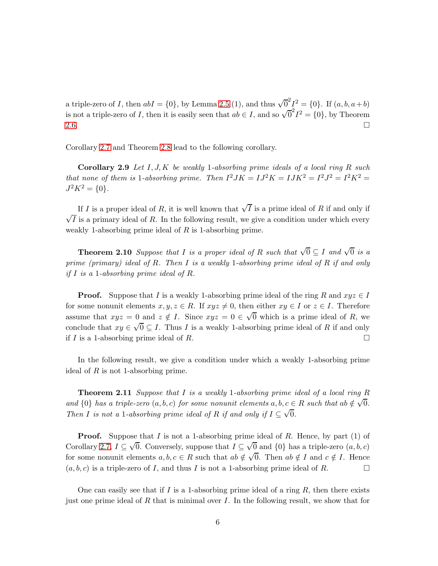a triple-zero of I, then  $abI = \{0\}$ , by Lemma [2.5](#page-3-1) (1), and thus  $\sqrt{0}^2 I^2 = \{0\}$ . If  $(a, b, a+b)$ is not a triple-zero of I, then it is easily seen that  $ab \in I$ , and so  $\sqrt{0}^2 I^2 = \{0\}$ , by Theorem [2.6.](#page-3-0)  $\Box$ 

Corollary [2.7](#page-4-0) and Theorem [2.8](#page-4-1) lead to the following corollary.

**Corollary 2.9** Let  $I, J, K$  be weakly 1-absorbing prime ideals of a local ring R such that none of them is 1-absorbing prime. Then  $I^2JK = IJ^2K = IJK^2 = I^2K^2 = I^2K^2$  $J^2K^2 = \{0\}.$ 

If I is a proper ideal of R, it is well known that  $\sqrt{I}$  is a prime ideal of R if and only if  $\sqrt{I}$  is a primary ideal of R. In the following result, we give a condition under which every weakly 1-absorbing prime ideal of  $R$  is 1-absorbing prime.

<span id="page-5-0"></span>**Theorem 2.10** Suppose that I is a proper ideal of R such that  $\sqrt{0} \subseteq I$  and  $\sqrt{0}$  is a prime (primary) ideal of R. Then I is a weakly 1-absorbing prime ideal of R if and only if I is a 1-absorbing prime ideal of  $R$ .

**Proof.** Suppose that I is a weakly 1-absorbing prime ideal of the ring R and  $xyz \in I$ for some nonunit elements  $x, y, z \in R$ . If  $xyz \neq 0$ , then either  $xy \in I$  or  $z \in I$ . Therefore assume that  $xyz = 0$  and  $z \notin I$ . Since  $xyz = 0 \in \sqrt{0}$  which is a prime ideal of R, we conclude that  $xy \in \sqrt{0} \subseteq I$ . Thus I is a weakly 1-absorbing prime ideal of R if and only if I is a 1-absorbing prime ideal of R.

In the following result, we give a condition under which a weakly 1-absorbing prime ideal of  $R$  is not 1-absorbing prime.

**Theorem 2.11** Suppose that I is a weakly 1-absorbing prime ideal of a local ring R and  $\{0\}$  has a triple-zero  $(a, b, c)$  for some nonunit elements  $a, b, c \in R$  such that  $ab \notin \sqrt{0}$ . Then I is not a 1-absorbing prime ideal of R if and only if  $I \subseteq \sqrt{0}$ .

**Proof.** Suppose that  $I$  is not a 1-absorbing prime ideal of  $R$ . Hence, by part (1) of Corollary [2.7,](#page-4-0)  $I \subseteq \sqrt{0}$ . Conversely, suppose that  $I \subseteq \sqrt{0}$  and  $\{0\}$  has a triple-zero  $(a, b, c)$ for some nonunit elements  $a, b, c \in R$  such that  $ab \notin \sqrt{0}$ . Then  $ab \notin I$  and  $c \notin I$ . Hence  $(a, b, c)$  is a triple-zero of I, and thus I is not a 1-absorbing prime ideal of R.

One can easily see that if I is a 1-absorbing prime ideal of a ring  $R$ , then there exists just one prime ideal of R that is minimal over I. In the following result, we show that for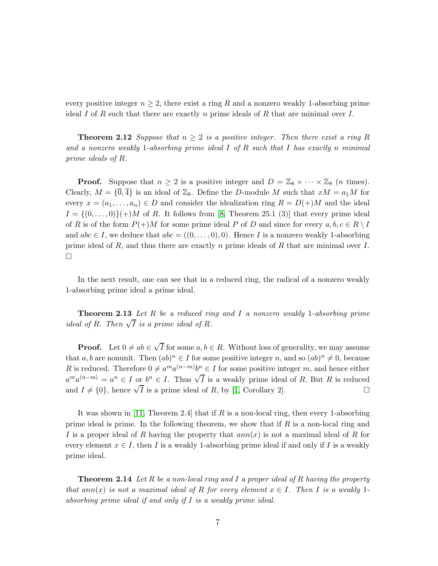<span id="page-6-0"></span>every positive integer  $n \geq 2$ , there exist a ring R and a nonzero weakly 1-absorbing prime ideal I of R such that there are exactly n prime ideals of R that are minimal over I.

**Theorem 2.12** Suppose that  $n \geq 2$  is a positive integer. Then there exist a ring R and a nonzero weakly 1-absorbing prime ideal I of R such that I has exactly n minimal prime ideals of R.

**Proof.** Suppose that  $n \geq 2$  is a positive integer and  $D = \mathbb{Z}_8 \times \cdots \times \mathbb{Z}_8$  (*n* times). Clearly,  $M = {\overline{0}, \overline{4}}$  is an ideal of  $\mathbb{Z}_8$ . Define the D-module M such that  $xM = a_1M$  for every  $x = (a_1, \ldots, a_n) \in D$  and consider the idealization ring  $R = D(+)M$  and the ideal  $I = \{(0, \ldots, 0)\}\$ h $M$  of R. It follows from [\[8,](#page-15-8) Theorem 25.1 (3)] that every prime ideal of R is of the form  $P(+)M$  for some prime ideal P of D and since for every  $a, b, c \in R \setminus I$ and  $abc \in I$ , we deduce that  $abc = ((0, \ldots, 0), 0)$ . Hence I is a nonzero weakly 1-absorbing prime ideal of R, and thus there are exactly n prime ideals of R that are minimal over  $I$ .  $\Box$ 

<span id="page-6-1"></span>In the next result, one can see that in a reduced ring, the radical of a nonzero weakly 1-absorbing prime ideal a prime ideal.

Theorem 2.13 Let R be a reduced ring and I a nonzero weakly 1-absorbing prime ideal of R. Then  $\sqrt{I}$  is a prime ideal of R.

**Proof.** Let  $0 \neq ab \in \sqrt{I}$  for some  $a, b \in R$ . Without loss of generality, we may assume that a, b are nonunit. Then  $(ab)^n \in I$  for some positive integer n, and so  $(ab)^n \neq 0$ , because R is reduced. Therefore  $0 \neq a^m a^{(n-m)} b^n \in I$  for some positive integer m, and hence either  $a^m a^{(n-m)} = a^n \in I$  or  $b^n \in I$ . Thus  $\sqrt{I}$  is a weakly prime ideal of R. But R is reduced and  $I \neq \{0\}$ , hence  $\sqrt{I}$  is a prime ideal of R, by [\[1,](#page-15-1) Corollary 2].

It was shown in [\[11,](#page-16-1) Theorem 2.4] that if  $R$  is a non-local ring, then every 1-absorbing prime ideal is prime. In the following theorem, we show that if  $R$  is a non-local ring and I is a proper ideal of R having the property that  $ann(x)$  is not a maximal ideal of R for every element  $x \in I$ , then I is a weakly 1-absorbing prime ideal if and only if I is a weakly prime ideal.

**Theorem 2.14** Let R be a non-local ring and I a proper ideal of R having the property that ann(x) is not a maximal ideal of R for every element  $x \in I$ . Then I is a weakly 1absorbing prime ideal if and only if I is a weakly prime ideal.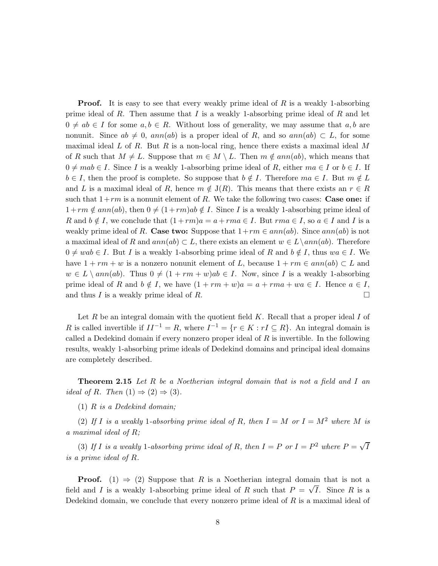**Proof.** It is easy to see that every weakly prime ideal of  $R$  is a weakly 1-absorbing prime ideal of  $R$ . Then assume that  $I$  is a weakly 1-absorbing prime ideal of  $R$  and let  $0 \neq ab \in I$  for some  $a, b \in R$ . Without loss of generality, we may assume that  $a, b$  are nonunit. Since  $ab \neq 0$ ,  $ann(ab)$  is a proper ideal of R, and so  $ann(ab) \subset L$ , for some maximal ideal  $L$  of  $R$ . But  $R$  is a non-local ring, hence there exists a maximal ideal  $M$ of R such that  $M \neq L$ . Suppose that  $m \in M \setminus L$ . Then  $m \notin ann(ab)$ , which means that  $0 \neq mab \in I$ . Since I is a weakly 1-absorbing prime ideal of R, either  $ma \in I$  or  $b \in I$ . If  $b \in I$ , then the proof is complete. So suppose that  $b \notin I$ . Therefore  $ma \in I$ . But  $m \notin L$ and L is a maximal ideal of R, hence  $m \notin J(R)$ . This means that there exists an  $r \in R$ such that  $1+rm$  is a nonunit element of R. We take the following two cases: Case one: if  $1+rm \notin ann(ab)$ , then  $0 \neq (1+rm)ab \notin I$ . Since I is a weakly 1-absorbing prime ideal of R and  $b \notin I$ , we conclude that  $(1 + rm)a = a + rma \in I$ . But  $rma \in I$ , so  $a \in I$  and I is a weakly prime ideal of R. Case two: Suppose that  $1+rm \in ann(ab)$ . Since  $ann(ab)$  is not a maximal ideal of R and  $ann(ab) \subset L$ , there exists an element  $w \in L \setminus ann(ab)$ . Therefore  $0 \neq wab \in I$ . But I is a weakly 1-absorbing prime ideal of R and  $b \notin I$ , thus  $wa \in I$ . We have  $1 + rm + w$  is a nonzero nonunit element of L, because  $1 + rm \in ann(ab) \subset L$  and  $w \in L \setminus ann(ab)$ . Thus  $0 \neq (1 + rm + w)ab \in I$ . Now, since I is a weakly 1-absorbing prime ideal of R and  $b \notin I$ , we have  $(1 + rm + w)a = a + rma + wa \in I$ . Hence  $a \in I$ , and thus I is a weakly prime ideal of R.

Let  $R$  be an integral domain with the quotient field  $K$ . Recall that a proper ideal  $I$  of R is called invertible if  $II^{-1} = R$ , where  $I^{-1} = \{r \in K : rI \subseteq R\}$ . An integral domain is called a Dedekind domain if every nonzero proper ideal of  $R$  is invertible. In the following results, weakly 1-absorbing prime ideals of Dedekind domains and principal ideal domains are completely described.

<span id="page-7-0"></span>**Theorem 2.15** Let R be a Noetherian integral domain that is not a field and I an ideal of R. Then  $(1) \Rightarrow (2) \Rightarrow (3)$ .

 $(1)$  R is a Dedekind domain;

(2) If I is a weakly 1-absorbing prime ideal of R, then  $I = M$  or  $I = M^2$  where M is a maximal ideal of R;

(3) If I is a weakly 1-absorbing prime ideal of R, then  $I = P$  or  $I = P<sup>2</sup>$  where  $P = \sqrt{I}$ is a prime ideal of R.

**Proof.** (1)  $\Rightarrow$  (2) Suppose that R is a Noetherian integral domain that is not a field and I is a weakly 1-absorbing prime ideal of R such that  $P = \sqrt{I}$ . Since R is a Dedekind domain, we conclude that every nonzero prime ideal of  $R$  is a maximal ideal of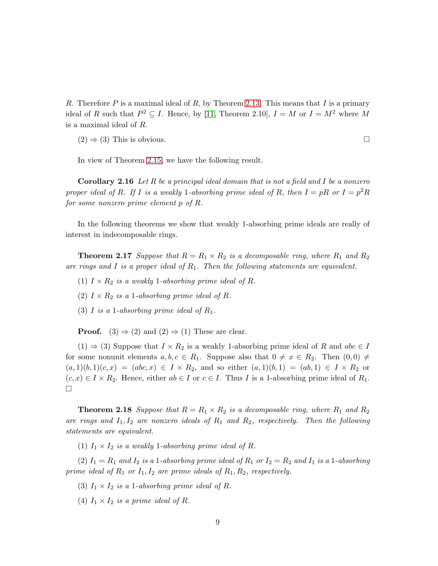R. Therefore P is a maximal ideal of R, by Theorem [2.13.](#page-6-1) This means that I is a primary ideal of R such that  $P^2 \subseteq I$ . Hence, by [\[11,](#page-16-1) Theorem 2.10],  $I = M$  or  $I = M^2$  where M is a maximal ideal of R.

 $(2) \Rightarrow (3)$  This is obvious.

In view of Theorem [2.15,](#page-7-0) we have the following result.

Corollary 2.16 Let  $R$  be a principal ideal domain that is not a field and  $I$  be a nonzero proper ideal of R. If I is a weakly 1-absorbing prime ideal of R, then  $I = pR$  or  $I = p^2R$ for some nonzero prime element p of R.

<span id="page-8-0"></span>In the following theorems we show that weakly 1-absorbing prime ideals are really of interest in indecomposable rings.

**Theorem 2.17** Suppose that  $R = R_1 \times R_2$  is a decomposable ring, where  $R_1$  and  $R_2$ are rings and I is a proper ideal of  $R_1$ . Then the following statements are equivalent.

- (1)  $I \times R_2$  is a weakly 1-absorbing prime ideal of R.
- (2)  $I \times R_2$  is a 1-absorbing prime ideal of R.
- (3) I is a 1-absorbing prime ideal of  $R_1$ .

**Proof.**  $(3) \Rightarrow (2)$  and  $(2) \Rightarrow (1)$  These are clear.

 $(1) \Rightarrow (3)$  Suppose that  $I \times R_2$  is a weakly 1-absorbing prime ideal of R and abc  $\in I$ for some nonunit elements  $a, b, c \in R_1$ . Suppose also that  $0 \neq x \in R_2$ . Then  $(0, 0) \neq$  $(a, 1)(b, 1)(c, x) = (abc, x) \in I \times R_2$ , and so either  $(a, 1)(b, 1) = (ab, 1) \in I \times R_2$  or  $(c, x) \in I \times R_2$ . Hence, either  $ab \in I$  or  $c \in I$ . Thus I is a 1-absorbing prime ideal of  $R_1$ .  $\Box$ 

<span id="page-8-1"></span>**Theorem 2.18** Suppose that  $R = R_1 \times R_2$  is a decomposable ring, where  $R_1$  and  $R_2$ are rings and  $I_1, I_2$  are nonzero ideals of  $R_1$  and  $R_2$ , respectively. Then the following statements are equivalent.

(1)  $I_1 \times I_2$  is a weakly 1-absorbing prime ideal of R.

(2)  $I_1 = R_1$  and  $I_2$  is a 1-absorbing prime ideal of  $R_1$  or  $I_2 = R_2$  and  $I_1$  is a 1-absorbing prime ideal of  $R_1$  or  $I_1, I_2$  are prime ideals of  $R_1, R_2$ , respectively.

- (3)  $I_1 \times I_2$  is a 1-absorbing prime ideal of R.
- (4)  $I_1 \times I_2$  is a prime ideal of R.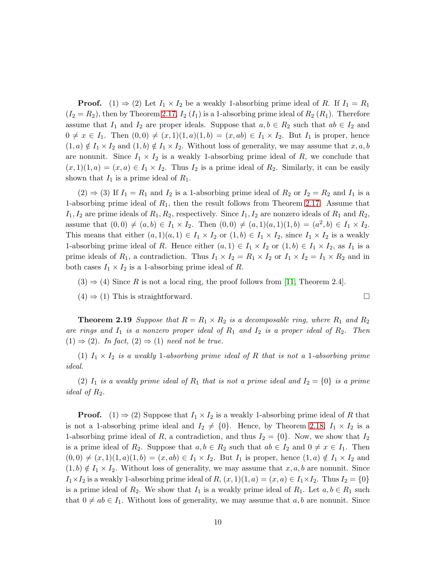**Proof.** (1)  $\Rightarrow$  (2) Let  $I_1 \times I_2$  be a weakly 1-absorbing prime ideal of R. If  $I_1 = R_1$  $(I_2 = R_2)$ , then by Theorem [2.17,](#page-8-0)  $I_2(I_1)$  is a 1-absorbing prime ideal of  $R_2(R_1)$ . Therefore assume that  $I_1$  and  $I_2$  are proper ideals. Suppose that  $a, b \in R_2$  such that  $ab \in I_2$  and  $0 \neq x \in I_1$ . Then  $(0, 0) \neq (x, 1)(1, a)(1, b) = (x, ab) \in I_1 \times I_2$ . But  $I_1$  is proper, hence  $(1, a) \notin I_1 \times I_2$  and  $(1, b) \notin I_1 \times I_2$ . Without loss of generality, we may assume that  $x, a, b$ are nonunit. Since  $I_1 \times I_2$  is a weakly 1-absorbing prime ideal of R, we conclude that  $(x, 1)(1, a) = (x, a) \in I_1 \times I_2$ . Thus  $I_2$  is a prime ideal of  $R_2$ . Similarly, it can be easily shown that  $I_1$  is a prime ideal of  $R_1$ .

 $(2) \Rightarrow (3)$  If  $I_1 = R_1$  and  $I_2$  is a 1-absorbing prime ideal of  $R_2$  or  $I_2 = R_2$  and  $I_1$  is a 1-absorbing prime ideal of  $R_1$ , then the result follows from Theorem [2.17.](#page-8-0) Assume that  $I_1, I_2$  are prime ideals of  $R_1, R_2$ , respectively. Since  $I_1, I_2$  are nonzero ideals of  $R_1$  and  $R_2$ , assume that  $(0,0) \neq (a, b) \in I_1 \times I_2$ . Then  $(0,0) \neq (a, 1)(a, 1)(1, b) = (a^2, b) \in I_1 \times I_2$ . This means that either  $(a, 1)(a, 1) \in I_1 \times I_2$  or  $(1, b) \in I_1 \times I_2$ , since  $I_1 \times I_2$  is a weakly 1-absorbing prime ideal of R. Hence either  $(a, 1) \in I_1 \times I_2$  or  $(1, b) \in I_1 \times I_2$ , as  $I_1$  is a prime ideals of  $R_1$ , a contradiction. Thus  $I_1 \times I_2 = R_1 \times I_2$  or  $I_1 \times I_2 = I_1 \times R_2$  and in both cases  $I_1 \times I_2$  is a 1-absorbing prime ideal of R.

 $(3) \Rightarrow (4)$  Since R is not a local ring, the proof follows from [\[11,](#page-16-1) Theorem 2.4].

 $(4) \Rightarrow (1)$  This is straightforward.

**Theorem 2.19** Suppose that  $R = R_1 \times R_2$  is a decomposable ring, where  $R_1$  and  $R_2$ are rings and  $I_1$  is a nonzero proper ideal of  $R_1$  and  $I_2$  is a proper ideal of  $R_2$ . Then  $(1) \Rightarrow (2)$ . In fact,  $(2) \Rightarrow (1)$  need not be true.

(1)  $I_1 \times I_2$  is a weakly 1-absorbing prime ideal of R that is not a 1-absorbing prime ideal.

(2)  $I_1$  is a weakly prime ideal of  $R_1$  that is not a prime ideal and  $I_2 = \{0\}$  is a prime ideal of  $R_2$ .

**Proof.** (1)  $\Rightarrow$  (2) Suppose that  $I_1 \times I_2$  is a weakly 1-absorbing prime ideal of R that is not a 1-absorbing prime ideal and  $I_2 \neq \{0\}$ . Hence, by Theorem [2.18,](#page-8-1)  $I_1 \times I_2$  is a 1-absorbing prime ideal of R, a contradiction, and thus  $I_2 = \{0\}$ . Now, we show that  $I_2$ is a prime ideal of  $R_2$ . Suppose that  $a, b \in R_2$  such that  $ab \in I_2$  and  $0 \neq x \in I_1$ . Then  $(0,0) \neq (x,1)(1,a)(1,b) = (x, ab) \in I_1 \times I_2$ . But  $I_1$  is proper, hence  $(1,a) \notin I_1 \times I_2$  and  $(1, b) \notin I_1 \times I_2$ . Without loss of generality, we may assume that  $x, a, b$  are nonunit. Since  $I_1\times I_2$  is a weakly 1-absorbing prime ideal of  $R$ ,  $(x, 1)(1, a) = (x, a) \in I_1 \times I_2$ . Thus  $I_2 = \{0\}$ is a prime ideal of  $R_2$ . We show that  $I_1$  is a weakly prime ideal of  $R_1$ . Let  $a, b \in R_1$  such that  $0 \neq ab \in I_1$ . Without loss of generality, we may assume that  $a, b$  are nonunit. Since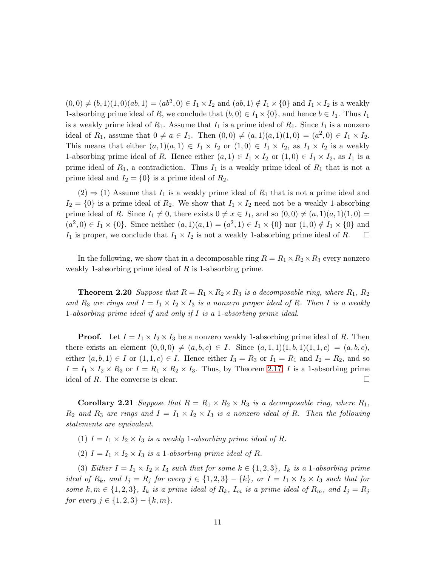$(0,0) \neq (b,1)(1,0)(ab,1) = (ab^2,0) \in I_1 \times I_2$  and  $(ab,1) \notin I_1 \times \{0\}$  and  $I_1 \times I_2$  is a weakly 1-absorbing prime ideal of R, we conclude that  $(b, 0) \in I_1 \times \{0\}$ , and hence  $b \in I_1$ . Thus  $I_1$ is a weakly prime ideal of  $R_1$ . Assume that  $I_1$  is a prime ideal of  $R_1$ . Since  $I_1$  is a nonzero ideal of  $R_1$ , assume that  $0 \neq a \in I_1$ . Then  $(0,0) \neq (a,1)(a,1)(1,0) = (a^2,0) \in I_1 \times I_2$ . This means that either  $(a, 1)(a, 1) \in I_1 \times I_2$  or  $(1, 0) \in I_1 \times I_2$ , as  $I_1 \times I_2$  is a weakly 1-absorbing prime ideal of R. Hence either  $(a, 1) \in I_1 \times I_2$  or  $(1, 0) \in I_1 \times I_2$ , as  $I_1$  is a prime ideal of  $R_1$ , a contradiction. Thus  $I_1$  is a weakly prime ideal of  $R_1$  that is not a prime ideal and  $I_2 = \{0\}$  is a prime ideal of  $R_2$ .

 $(2) \Rightarrow (1)$  Assume that  $I_1$  is a weakly prime ideal of  $R_1$  that is not a prime ideal and  $I_2 = \{0\}$  is a prime ideal of  $R_2$ . We show that  $I_1 \times I_2$  need not be a weakly 1-absorbing prime ideal of R. Since  $I_1 \neq 0$ , there exists  $0 \neq x \in I_1$ , and so  $(0, 0) \neq (a, 1)(a, 1)(1, 0) =$  $(a^2,0) \in I_1 \times \{0\}$ . Since neither  $(a,1)(a,1) = (a^2,1) \in I_1 \times \{0\}$  nor  $(1,0) \notin I_1 \times \{0\}$  and  $I_1$  is proper, we conclude that  $I_1 \times I_2$  is not a weakly 1-absorbing prime ideal of R.  $\Box$ 

<span id="page-10-0"></span>In the following, we show that in a decomposable ring  $R = R_1 \times R_2 \times R_3$  every nonzero weakly 1-absorbing prime ideal of  $R$  is 1-absorbing prime.

**Theorem 2.20** Suppose that  $R = R_1 \times R_2 \times R_3$  is a decomposable ring, where  $R_1, R_2$ and  $R_3$  are rings and  $I = I_1 \times I_2 \times I_3$  is a nonzero proper ideal of R. Then I is a weakly 1-absorbing prime ideal if and only if I is a 1-absorbing prime ideal.

**Proof.** Let  $I = I_1 \times I_2 \times I_3$  be a nonzero weakly 1-absorbing prime ideal of R. Then there exists an element  $(0, 0, 0) \neq (a, b, c) \in I$ . Since  $(a, 1, 1)(1, b, 1)(1, 1, c) = (a, b, c)$ , either  $(a, b, 1) \in I$  or  $(1, 1, c) \in I$ . Hence either  $I_3 = R_3$  or  $I_1 = R_1$  and  $I_2 = R_2$ , and so  $I = I_1 \times I_2 \times R_3$  or  $I = R_1 \times R_2 \times I_3$ . Thus, by Theorem [2.17,](#page-8-0) I is a 1-absorbing prime ideal of R. The converse is clear.  $\Box$ 

**Corollary 2.21** Suppose that  $R = R_1 \times R_2 \times R_3$  is a decomposable ring, where  $R_1$ ,  $R_2$  and  $R_3$  are rings and  $I = I_1 \times I_2 \times I_3$  is a nonzero ideal of R. Then the following statements are equivalent.

(1)  $I = I_1 \times I_2 \times I_3$  is a weakly 1-absorbing prime ideal of R.

(2)  $I = I_1 \times I_2 \times I_3$  is a 1-absorbing prime ideal of R.

(3) Either  $I = I_1 \times I_2 \times I_3$  such that for some  $k \in \{1,2,3\}$ ,  $I_k$  is a 1-absorbing prime ideal of  $R_k$ , and  $I_j = R_j$  for every  $j \in \{1,2,3\} - \{k\}$ , or  $I = I_1 \times I_2 \times I_3$  such that for some k,  $m \in \{1,2,3\}$ ,  $I_k$  is a prime ideal of  $R_k$ ,  $I_m$  is a prime ideal of  $R_m$ , and  $I_j = R_j$ for every  $j \in \{1, 2, 3\} - \{k, m\}.$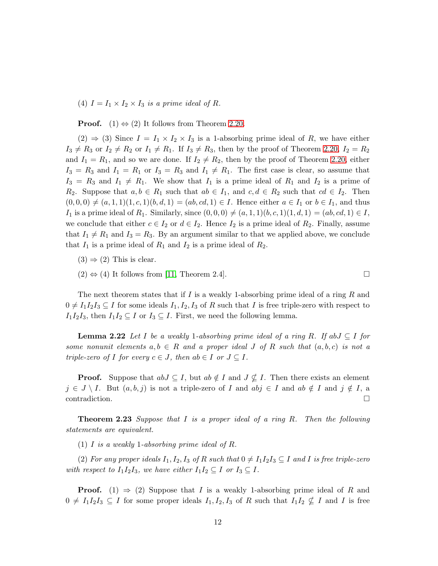(4)  $I = I_1 \times I_2 \times I_3$  is a prime ideal of R.

**Proof.** (1)  $\Leftrightarrow$  (2) It follows from Theorem [2.20.](#page-10-0)

 $(2) \Rightarrow (3)$  Since  $I = I_1 \times I_2 \times I_3$  is a 1-absorbing prime ideal of R, we have either  $I_3 \neq R_3$  or  $I_2 \neq R_2$  or  $I_1 \neq R_1$ . If  $I_3 \neq R_3$ , then by the proof of Theorem [2.20,](#page-10-0)  $I_2 = R_2$ and  $I_1 = R_1$ , and so we are done. If  $I_2 \neq R_2$ , then by the proof of Theorem [2.20,](#page-10-0) either  $I_3 = R_3$  and  $I_1 = R_1$  or  $I_3 = R_3$  and  $I_1 \neq R_1$ . The first case is clear, so assume that  $I_3 = R_3$  and  $I_1 \neq R_1$ . We show that  $I_1$  is a prime ideal of  $R_1$  and  $I_2$  is a prime of R<sub>2</sub>. Suppose that  $a, b \in R_1$  such that  $ab \in I_1$ , and  $c, d \in R_2$  such that  $cd \in I_2$ . Then  $(0,0,0) \neq (a,1,1)(1,c,1)(b,d,1) = (ab, cd, 1) \in I$ . Hence either  $a \in I_1$  or  $b \in I_1$ , and thus  $I_1$  is a prime ideal of  $R_1$ . Similarly, since  $(0, 0, 0) \neq (a, 1, 1)(b, c, 1)(1, d, 1) = (ab, cd, 1) \in I$ , we conclude that either  $c \in I_2$  or  $d \in I_2$ . Hence  $I_2$  is a prime ideal of  $R_2$ . Finally, assume that  $I_1 \neq R_1$  and  $I_3 = R_3$ . By an argument similar to that we applied above, we conclude that  $I_1$  is a prime ideal of  $R_1$  and  $I_2$  is a prime ideal of  $R_2$ .

 $(3) \Rightarrow (2)$  This is clear.

 $(2) \Leftrightarrow (4)$  It follows from [\[11,](#page-16-1) Theorem 2.4].

<span id="page-11-1"></span>The next theorem states that if I is a weakly 1-absorbing prime ideal of a ring R and  $0 \neq I_1I_2I_3 \subseteq I$  for some ideals  $I_1, I_2, I_3$  of R such that I is free triple-zero with respect to  $I_1I_2I_3$ , then  $I_1I_2 \subseteq I$  or  $I_3 \subseteq I$ . First, we need the following lemma.

**Lemma 2.22** Let I be a weakly 1-absorbing prime ideal of a ring R. If ab $J \subseteq I$  for some nonunit elements  $a, b \in R$  and a proper ideal J of R such that  $(a, b, c)$  is not a triple-zero of I for every  $c \in J$ , then  $ab \in I$  or  $J \subseteq I$ .

**Proof.** Suppose that  $abJ \subseteq I$ , but  $ab \notin I$  and  $J \nsubseteq I$ . Then there exists an element  $j \in J \setminus I$ . But  $(a, b, j)$  is not a triple-zero of I and  $abj \in I$  and  $ab \notin I$  and  $j \notin I$ , a contradiction.

<span id="page-11-0"></span>**Theorem 2.23** Suppose that  $I$  is a proper ideal of a ring  $R$ . Then the following statements are equivalent.

(1) I is a weakly 1-absorbing prime ideal of R.

(2) For any proper ideals  $I_1, I_2, I_3$  of R such that  $0 \neq I_1I_2I_3 \subseteq I$  and I is free triple-zero with respect to  $I_1I_2I_3$ , we have either  $I_1I_2 \subseteq I$  or  $I_3 \subseteq I$ .

**Proof.** (1)  $\Rightarrow$  (2) Suppose that I is a weakly 1-absorbing prime ideal of R and  $0 \neq I_1I_2I_3 \subseteq I$  for some proper ideals  $I_1, I_2, I_3$  of R such that  $I_1I_2 \nsubseteq I$  and I is free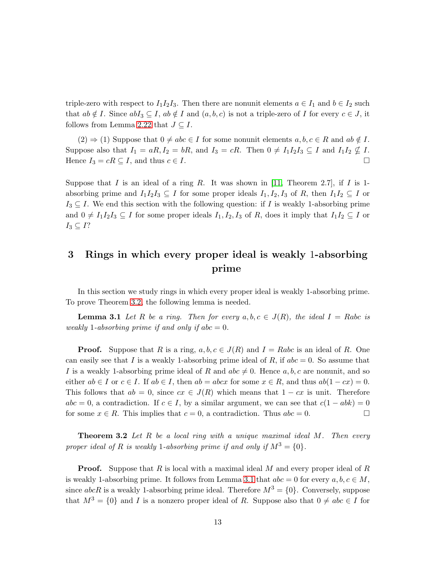triple-zero with respect to  $I_1I_2I_3$ . Then there are nonunit elements  $a \in I_1$  and  $b \in I_2$  such that  $ab \notin I$ . Since  $abI_3 \subseteq I$ ,  $ab \notin I$  and  $(a, b, c)$  is not a triple-zero of I for every  $c \in J$ , it follows from Lemma [2.22](#page-11-1) that  $J \subseteq I$ .

 $(2) \Rightarrow (1)$  Suppose that  $0 \neq abc \in I$  for some nonunit elements  $a, b, c \in R$  and  $ab \notin I$ . Suppose also that  $I_1 = aR$ ,  $I_2 = bR$ , and  $I_3 = cR$ . Then  $0 \neq I_1I_2I_3 \subseteq I$  and  $I_1I_2 \nsubseteq I$ . Hence  $I_3 = cR \subseteq I$ , and thus  $c \in I$ .

Suppose that I is an ideal of a ring R. It was shown in [\[11,](#page-16-1) Theorem 2.7], if I is 1absorbing prime and  $I_1I_2I_3 \subseteq I$  for some proper ideals  $I_1, I_2, I_3$  of R, then  $I_1I_2 \subseteq I$  or  $I_3 \subseteq I$ . We end this section with the following question: if I is weakly 1-absorbing prime and  $0 \neq I_1I_2I_3 \subseteq I$  for some proper ideals  $I_1, I_2, I_3$  of R, does it imply that  $I_1I_2 \subseteq I$  or  $I_3 \subseteq I?$ 

# 3 Rings in which every proper ideal is weakly 1-absorbing prime

<span id="page-12-1"></span>In this section we study rings in which every proper ideal is weakly 1-absorbing prime. To prove Theorem [3.2,](#page-12-0) the following lemma is needed.

**Lemma 3.1** Let R be a ring. Then for every  $a, b, c \in J(R)$ , the ideal  $I = Rabc$  is weakly 1-absorbing prime if and only if  $abc = 0$ .

**Proof.** Suppose that R is a ring,  $a, b, c \in J(R)$  and  $I = Rabc$  is an ideal of R. One can easily see that I is a weakly 1-absorbing prime ideal of R, if  $abc = 0$ . So assume that I is a weakly 1-absorbing prime ideal of R and  $abc \neq 0$ . Hence  $a, b, c$  are nonunit, and so either  $ab \in I$  or  $c \in I$ . If  $ab \in I$ , then  $ab = abcx$  for some  $x \in R$ , and thus  $ab(1 - cx) = 0$ . This follows that  $ab = 0$ , since  $cx \in J(R)$  which means that  $1 - cx$  is unit. Therefore  $abc = 0$ , a contradiction. If  $c \in I$ , by a similar argument, we can see that  $c(1 - abk) = 0$ for some  $x \in R$ . This implies that  $c = 0$ , a contradiction. Thus  $abc = 0$ .

<span id="page-12-0"></span>**Theorem 3.2** Let  $R$  be a local ring with a unique maximal ideal  $M$ . Then every proper ideal of R is weakly 1-absorbing prime if and only if  $M^3 = \{0\}$ .

**Proof.** Suppose that R is local with a maximal ideal M and every proper ideal of R is weakly 1-absorbing prime. It follows from Lemma [3.1](#page-12-1) that  $abc = 0$  for every  $a, b, c \in M$ , since abcR is a weakly 1-absorbing prime ideal. Therefore  $M^3 = \{0\}$ . Conversely, suppose that  $M^3 = \{0\}$  and I is a nonzero proper ideal of R. Suppose also that  $0 \neq abc \in I$  for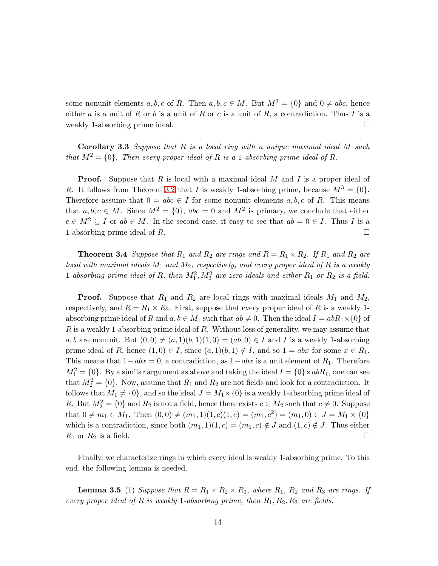some nonunit elements a, b, c of R. Then  $a, b, c \in M$ . But  $M^3 = \{0\}$  and  $0 \neq abc$ , hence either a is a unit of R or b is a unit of R or c is a unit of R, a contradiction. Thus I is a weakly 1-absorbing prime ideal.

<span id="page-13-0"></span>**Corollary 3.3** Suppose that  $R$  is a local ring with a unique maximal ideal  $M$  such that  $M^2 = \{0\}$ . Then every proper ideal of R is a 1-absorbing prime ideal of R.

**Proof.** Suppose that  $R$  is local with a maximal ideal  $M$  and  $I$  is a proper ideal of R. It follows from Theorem [3.2](#page-12-0) that I is weakly 1-absorbing prime, because  $M^3 = \{0\}$ . Therefore assume that  $0 = abc \in I$  for some nonunit elements a, b, c of R. This means that  $a, b, c \in M$ . Since  $M^2 = \{0\}$ ,  $abc = 0$  and  $M^2$  is primary, we conclude that either  $c \in M^2 \subseteq I$  or  $ab \in M$ . In the second case, it easy to see that  $ab = 0 \in I$ . Thus I is a 1-absorbing prime ideal of R.

<span id="page-13-2"></span>**Theorem 3.4** Suppose that  $R_1$  and  $R_2$  are rings and  $R = R_1 \times R_2$ . If  $R_1$  and  $R_2$  are local with maximal ideals  $M_1$  and  $M_2$ , respectively, and every proper ideal of R is a weakly 1-absorbing prime ideal of R, then  $M_1^2$ ,  $M_2^2$  are zero ideals and either  $R_1$  or  $R_2$  is a field.

**Proof.** Suppose that  $R_1$  and  $R_2$  are local rings with maximal ideals  $M_1$  and  $M_2$ , respectively, and  $R = R_1 \times R_2$ . First, suppose that every proper ideal of R is a weakly 1absorbing prime ideal of R and  $a, b \in M_1$  such that  $ab \neq 0$ . Then the ideal  $I = abR_1 \times \{0\}$  of  $R$  is a weakly 1-absorbing prime ideal of  $R$ . Without loss of generality, we may assume that a, b are nonunit. But  $(0, 0) \neq (a, 1)(b, 1)(1, 0) = (ab, 0) \in I$  and I is a weakly 1-absorbing prime ideal of R, hence  $(1, 0) \in I$ , since  $(a, 1)(b, 1) \notin I$ , and so  $1 = abx$  for some  $x \in R_1$ . This means that  $1-abx = 0$ , a contradiction, as  $1-abx$  is a unit element of  $R_1$ . Therefore  $M_1^2 = \{0\}$ . By a similar argument as above and taking the ideal  $I = \{0\} \times abR_1$ , one can see that  $M_2^2 = \{0\}$ . Now, assume that  $R_1$  and  $R_2$  are not fields and look for a contradiction. It follows that  $M_1 \neq \{0\}$ , and so the ideal  $J = M_1 \times \{0\}$  is a weakly 1-absorbing prime ideal of R. But  $M_2^2 = \{0\}$  and  $R_2$  is not a field, hence there exists  $c \in M_2$  such that  $c \neq 0$ . Suppose that  $0 \neq m_1 \in M_1$ . Then  $(0,0) \neq (m_1, 1)(1, c)(1, c) = (m_1, c^2) = (m_1, 0) \in J = M_1 \times \{0\}$ which is a contradiction, since both  $(m_1, 1)(1, c) = (m_1, c) \notin J$  and  $(1, c) \notin J$ . Thus either  $R_1$  or  $R_2$  is a field.

<span id="page-13-1"></span>Finally, we characterize rings in which every ideal is weakly 1-absorbing prime. To this end, the following lemma is needed.

**Lemma 3.5** (1) Suppose that  $R = R_1 \times R_2 \times R_3$ , where  $R_1$ ,  $R_2$  and  $R_3$  are rings. If every proper ideal of R is weakly 1-absorbing prime, then  $R_1, R_2, R_3$  are fields.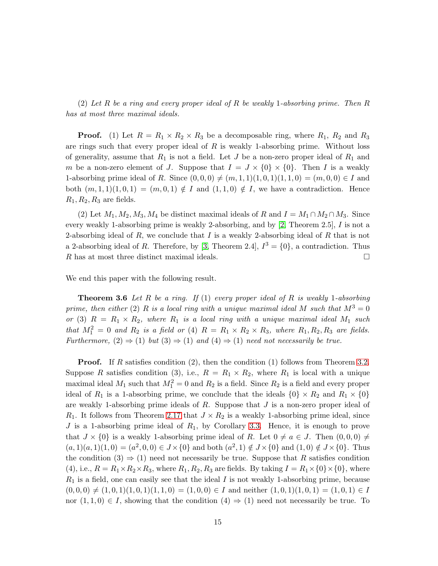(2) Let R be a ring and every proper ideal of R be weakly 1-absorbing prime. Then R has at most three maximal ideals.

**Proof.** (1) Let  $R = R_1 \times R_2 \times R_3$  be a decomposable ring, where  $R_1$ ,  $R_2$  and  $R_3$ are rings such that every proper ideal of  $R$  is weakly 1-absorbing prime. Without loss of generality, assume that  $R_1$  is not a field. Let J be a non-zero proper ideal of  $R_1$  and m be a non-zero element of J. Suppose that  $I = J \times \{0\} \times \{0\}$ . Then I is a weakly 1-absorbing prime ideal of R. Since  $(0, 0, 0) \neq (m, 1, 1)(1, 0, 1)(1, 1, 0) = (m, 0, 0) \in I$  and both  $(m, 1, 1)(1, 0, 1) = (m, 0, 1) \notin I$  and  $(1, 1, 0) \notin I$ , we have a contradiction. Hence  $R_1, R_2, R_3$  are fields.

(2) Let  $M_1, M_2, M_3, M_4$  be distinct maximal ideals of R and  $I = M_1 \cap M_2 \cap M_3$ . Since every weakly 1-absorbing prime is weakly 2-absorbing, and by [\[2,](#page-15-5) Theorem 2.5], I is not a 2-absorbing ideal of  $R$ , we conclude that  $I$  is a weakly 2-absorbing ideal of  $R$  that is not a 2-absorbing ideal of R. Therefore, by [\[3,](#page-15-6) Theorem 2.4],  $I^3 = \{0\}$ , a contradiction. Thus R has at most three distinct maximal ideals.  $\Box$ 

We end this paper with the following result.

**Theorem 3.6** Let R be a ring. If (1) every proper ideal of R is weakly 1-absorbing prime, then either (2) R is a local ring with a unique maximal ideal M such that  $M^3 = 0$ or (3)  $R = R_1 \times R_2$ , where  $R_1$  is a local ring with a unique maximal ideal  $M_1$  such that  $M_1^2 = 0$  and  $R_2$  is a field or (4)  $R = R_1 \times R_2 \times R_3$ , where  $R_1, R_2, R_3$  are fields. Furthermore,  $(2) \Rightarrow (1)$  but  $(3) \Rightarrow (1)$  and  $(4) \Rightarrow (1)$  need not necessarily be true.

**Proof.** If R satisfies condition (2), then the condition (1) follows from Theorem [3.2.](#page-12-0) Suppose R satisfies condition (3), i.e.,  $R = R_1 \times R_2$ , where  $R_1$  is local with a unique maximal ideal  $M_1$  such that  $M_1^2 = 0$  and  $R_2$  is a field. Since  $R_2$  is a field and every proper ideal of  $R_1$  is a 1-absorbing prime, we conclude that the ideals  $\{0\} \times R_2$  and  $R_1 \times \{0\}$ are weakly 1-absorbing prime ideals of  $R$ . Suppose that  $J$  is a non-zero proper ideal of  $R_1$ . It follows from Theorem [2.17](#page-8-0) that  $J \times R_2$  is a weakly 1-absorbing prime ideal, since J is a 1-absorbing prime ideal of  $R_1$ , by Corollary [3.3.](#page-13-0) Hence, it is enough to prove that  $J \times \{0\}$  is a weakly 1-absorbing prime ideal of R. Let  $0 \neq a \in J$ . Then  $(0, 0, 0) \neq$  $(a, 1)(a, 1)(1, 0) = (a^2, 0, 0) \in J \times \{0\}$  and both  $(a^2, 1) \notin J \times \{0\}$  and  $(1, 0) \notin J \times \{0\}$ . Thus the condition  $(3) \Rightarrow (1)$  need not necessarily be true. Suppose that R satisfies condition (4), i.e.,  $R = R_1 \times R_2 \times R_3$ , where  $R_1, R_2, R_3$  are fields. By taking  $I = R_1 \times \{0\} \times \{0\}$ , where  $R_1$  is a field, one can easily see that the ideal I is not weakly 1-absorbing prime, because  $(0,0,0) \neq (1,0,1)(1,0,1)(1,1,0) = (1,0,0) \in I$  and neither  $(1,0,1)(1,0,1) = (1,0,1) \in I$ nor  $(1,1,0) \in I$ , showing that the condition  $(4) \Rightarrow (1)$  need not necessarily be true. To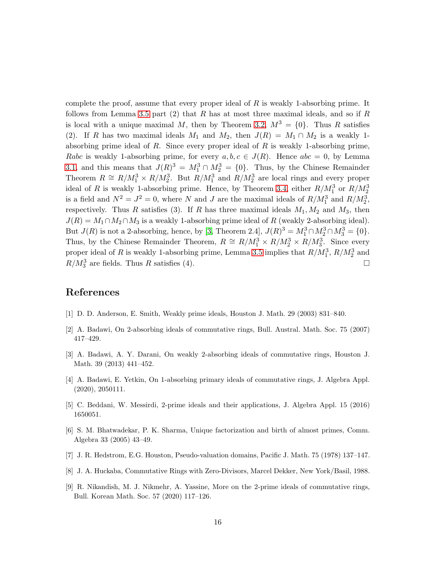complete the proof, assume that every proper ideal of  $R$  is weakly 1-absorbing prime. It follows from Lemma [3.5](#page-13-1) part  $(2)$  that R has at most three maximal ideals, and so if R is local with a unique maximal M, then by Theorem [3.2,](#page-12-0)  $M^3 = \{0\}$ . Thus R satisfies (2). If R has two maximal ideals  $M_1$  and  $M_2$ , then  $J(R) = M_1 \cap M_2$  is a weakly 1absorbing prime ideal of  $R$ . Since every proper ideal of  $R$  is weakly 1-absorbing prime, Rabc is weakly 1-absorbing prime, for every  $a, b, c \in J(R)$ . Hence  $abc = 0$ , by Lemma [3.1,](#page-12-1) and this means that  $J(R)^3 = M_1^3 \cap M_2^3 = \{0\}$ . Thus, by the Chinese Remainder Theorem  $R \cong R/M_1^3 \times R/M_2^3$ . But  $R/M_1^3$  and  $R/M_2^3$  are local rings and every proper ideal of R is weakly 1-absorbing prime. Hence, by Theorem [3.4,](#page-13-2) either  $R/M_1^3$  or  $R/M_2^3$ is a field and  $N^2 = J^2 = 0$ , where N and J are the maximal ideals of  $R/M_1^3$  and  $R/M_2^3$ , respectively. Thus R satisfies (3). If R has three maximal ideals  $M_1, M_2$  and  $M_3$ , then  $J(R) = M_1 \cap M_2 \cap M_3$  is a weakly 1-absorbing prime ideal of R (weakly 2-absorbing ideal). But  $J(R)$  is not a 2-absorbing, hence, by [\[3,](#page-15-6) Theorem 2.4],  $J(R)^3 = M_1^3 \cap M_2^3 \cap M_3^3 = \{0\}$ . Thus, by the Chinese Remainder Theorem,  $R \cong R/M_1^3 \times R/M_2^3 \times R/M_3^3$ . Since every proper ideal of R is weakly 1-absorbing prime, Lemma [3.5](#page-13-1) implies that  $R/M_1^3$ ,  $R/M_2^3$  and  $R/M_3^3$  are fields. Thus R satisfies (4).

### <span id="page-15-1"></span>References

- <span id="page-15-5"></span>[1] D. D. Anderson, E. Smith, Weakly prime ideals, Houston J. Math. 29 (2003) 831–840.
- <span id="page-15-6"></span>[2] A. Badawi, On 2-absorbing ideals of commutative rings, Bull. Austral. Math. Soc. 75 (2007) 417–429.
- [3] A. Badawi, A. Y. Darani, On weakly 2-absorbing ideals of commutative rings, Houston J. Math. 39 (2013) 441–452.
- <span id="page-15-7"></span><span id="page-15-3"></span>[4] A. Badawi, E. Yetkin, On 1-absorbing primary ideals of commutative rings, J. Algebra Appl. (2020), 2050111.
- <span id="page-15-2"></span>[5] C. Beddani, W. Messirdi, 2-prime ideals and their applications, J. Algebra Appl. 15 (2016) 1650051.
- [6] S. M. Bhatwadekar, P. K. Sharma, Unique factorization and birth of almost primes, Comm. Algebra 33 (2005) 43–49.
- <span id="page-15-8"></span><span id="page-15-0"></span>[7] J. R. Hedstrom, E.G. Houston, Pseudo-valuation domains, Pacific J. Math. 75 (1978) 137–147.
- <span id="page-15-4"></span>[8] J. A. Huckaba, Commutative Rings with Zero-Divisors, Marcel Dekker, New York/Basil, 1988.
- [9] R. Nikandish, M. J. Nikmehr, A. Yassine, More on the 2-prime ideals of commutative rings, Bull. Korean Math. Soc. 57 (2020) 117–126.